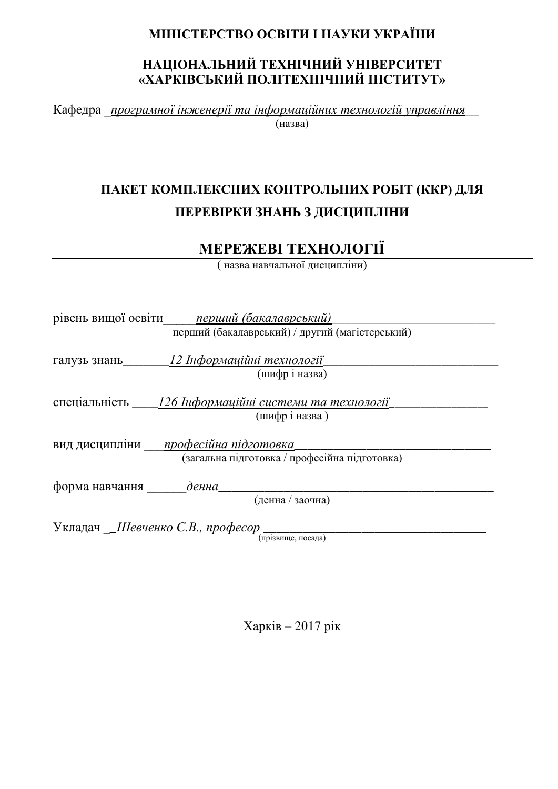## **МІНІСТЕРСТВО ОСВІТИ І НАУКИ УКРАЇНИ**

## НАЦІОНАЛЬНИЙ ТЕХНІЧНИЙ УНІВЕРСИТЕТ «ХАРКІВСЬКИЙ ПОЛІТЕХНІЧНИЙ ІНСТИТУТ»

Кафедра програмної інженерії та інформаційних технологій управління (назва)

## ПАКЕТ КОМПЛЕКСНИХ КОНТРОЛЬНИХ РОБІТ (ККР) ДЛЯ ПЕРЕВІРКИ ЗНАНЬ З ДИСЦИПЛІНИ

## МЕРЕЖЕВІ ТЕХНОЛОГІЇ

( назва навчальної дисципліни)

| рівень вищої освіти<br>перший (бакалаврський)<br>перший (бакалаврський) / другий (магістерський) |                                                                                       |  |  |  |
|--------------------------------------------------------------------------------------------------|---------------------------------------------------------------------------------------|--|--|--|
|                                                                                                  | (шифр і назва)                                                                        |  |  |  |
|                                                                                                  | спеціальність _____126 Інформаційні системи та технології<br>(шифріназва)             |  |  |  |
|                                                                                                  | вид дисципліни професійна підготовка<br>(загальна підготовка / професійна підготовка) |  |  |  |
| форма навчання                                                                                   | денна<br>(денна / заочна)                                                             |  |  |  |
| Укладач _Шевченко С.В., професор<br>(прізвище, посада)                                           |                                                                                       |  |  |  |

 $Xapk$ ив – 2017 рік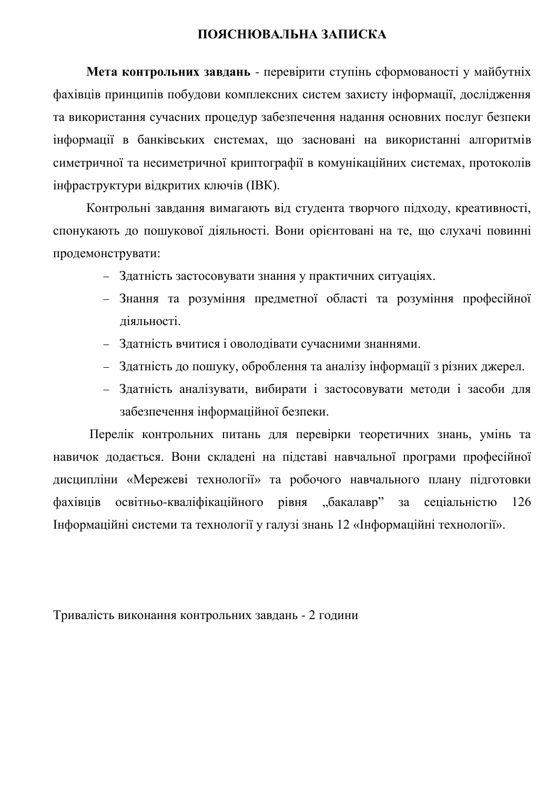#### ПОЯСНЮВАЛЬНА ЗАПИСКА

Мета контрольних завдань - перевірити ступінь сформованості у майбутніх фахівців принципів побудови комплексних систем захисту інформації, дослідження та використання сучасних процедур забезпечення надання основних послуг безпеки інформації в банківських системах, що засновані на використанні алгоритмів симетричної та несиметричної криптографії в комунікаційних системах, протоколів iнфраструктури відкритих ключів (IBK).

Контрольні завдання вимагають від студента творчого підходу, креативності, спонукають до пошукової діяльності. Вони орієнтовані на те, що слухачі повинні продемонструвати:

- Златність застосовувати знання у практичних ситуаціях.
- Знання та розуміння предметної області та розуміння професійної діяльності.
- Здатність вчитися і оволодівати сучасними знаннями.
- Здатність до пошуку, оброблення та аналізу інформації з різних джерел.
- Здатність аналізувати, вибирати і застосовувати методи і засоби для забезпечення інформаційної безпеки.

Перелік контрольних питань для перевірки теоретичних знань, умінь та навичок додається. Вони складені на підставі навчальної програми професійної дисципліни «Мережеві технології» та робочого навчального плану підготовки фахівців освітньо-кваліфікаційного рівня "бакалавр" за сеціальністю 126 Інформаційні системи та технології у галузі знань 12 «Інформаційні технології».

Тривалість виконання контрольних завдань - 2 години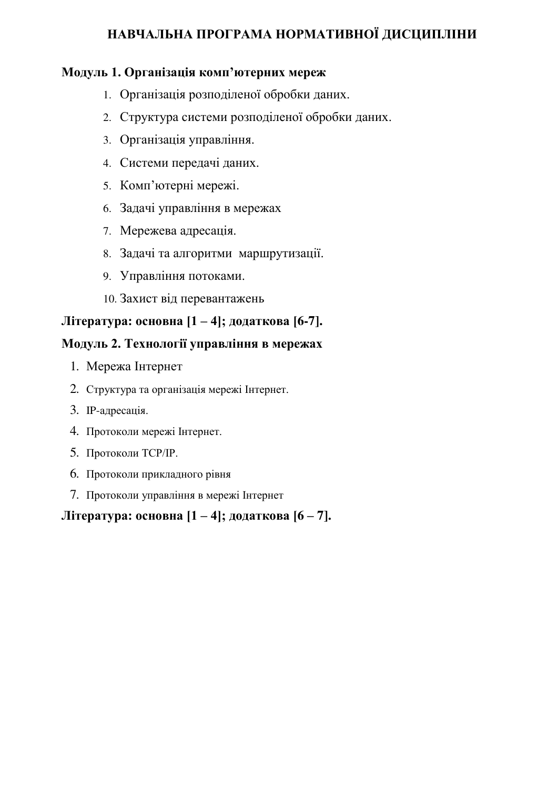## НАВЧАЛЬНА ПРОГРАМА НОРМАТИВНОЇ ДИСЦИПЛІНИ

#### Модуль 1. Організація комп'ютерних мереж

- 1. Організація розподіленої обробки даних.
- 2. Структура системи розподіленої обробки даних.
- 3. Організація управління.
- 4. Системи передачі даних.
- 5. Комп'ютерні мережі.
- 6. Задачі управління в мережах
- 7. Мережева адресація.
- 8. Задачі та алгоритми маршрутизації.
- 9. Управління потоками.
- 10. Захист від перевантажень

#### $Jli$ тература: основна [1 − 4]; додаткова [6-7].

#### Молуль 2. Технології управління в мережах

- 1. Мережа Інтернет
- 2. Структура та організація мережі Інтернет.
- 3. IP-адресація.
- 4. Протоколи мережі Інтернет.
- 5. Протоколи ТСР/IP.
- 6. Протоколи прикладного рівня
- 7. Протоколи управління в мережі Інтернет

## **Ʌɿɬɟɪɚɬɭɪɚ: ɨɫɧɨɜɧɚ [1 – 4]; ɞɨɞɚɬɤɨɜɚ [6 – 7].**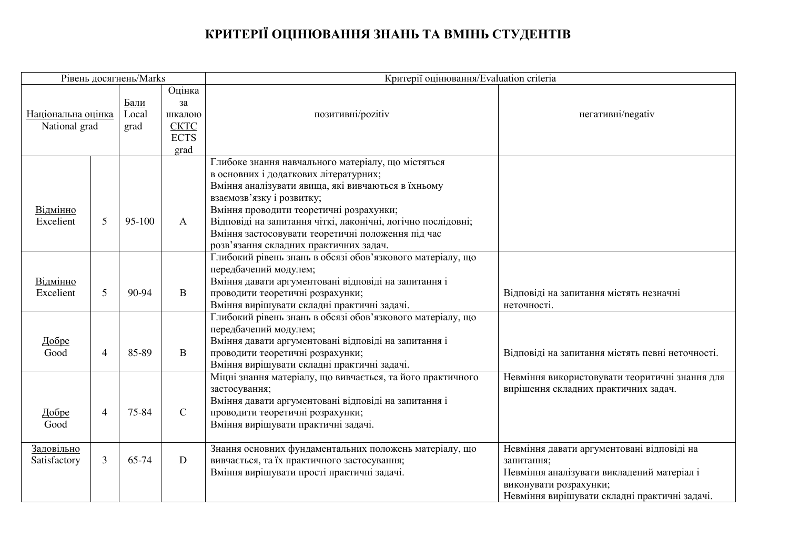# КРИТЕРІЇ ОЦІНЮВАННЯ ЗНАНЬ ТА ВМІНЬ СТУДЕНТІВ

| Рівень досягнень/Marks                |                |             | Критерії оцінювання/Evaluation criteria |                                                              |                                                  |
|---------------------------------------|----------------|-------------|-----------------------------------------|--------------------------------------------------------------|--------------------------------------------------|
|                                       |                |             | Оцінка                                  |                                                              |                                                  |
|                                       |                | Бали        | за                                      |                                                              |                                                  |
| Національна оцінка<br>Local<br>шкалою |                |             | позитивні/pozitiv                       | негативні/negativ                                            |                                                  |
| National grad<br>grad                 |                | <b>EKTC</b> |                                         |                                                              |                                                  |
|                                       |                | <b>ECTS</b> |                                         |                                                              |                                                  |
|                                       |                |             | grad                                    |                                                              |                                                  |
|                                       |                |             |                                         | Глибоке знання навчального матеріалу, що містяться           |                                                  |
|                                       |                |             |                                         | в основних і додаткових літературних;                        |                                                  |
|                                       |                |             |                                         | Вміння аналізувати явища, які вивчаються в їхньому           |                                                  |
|                                       |                |             |                                         | взаємозв'язку і розвитку;                                    |                                                  |
| Відмінно                              |                |             |                                         | Вміння проводити теоретичні розрахунки;                      |                                                  |
| Excelient                             | 5              | 95-100      | $\mathbf{A}$                            | Відповіді на запитання чіткі, лаконічні, логічно послідовні; |                                                  |
|                                       |                |             |                                         | Вміння застосовувати теоретичні положення під час            |                                                  |
|                                       |                |             |                                         | розв'язання складних практичних задач.                       |                                                  |
|                                       |                |             |                                         | Глибокий рівень знань в обсязі обов'язкового матеріалу, що   |                                                  |
|                                       |                |             |                                         | передбачений модулем;                                        |                                                  |
| Відмінно                              |                |             |                                         | Вміння давати аргументовані відповіді на запитання і         |                                                  |
| Excelient                             | 5              | 90-94       | B                                       | проводити теоретичні розрахунки;                             | Відповіді на запитання містять незначні          |
|                                       |                |             |                                         | Вміння вирішувати складні практичні задачі.                  | неточності.                                      |
|                                       |                |             |                                         | Глибокий рівень знань в обсязі обов'язкового матеріалу, що   |                                                  |
|                                       |                |             |                                         | передбачений модулем;                                        |                                                  |
| Добре                                 |                |             |                                         | Вміння давати аргументовані відповіді на запитання і         |                                                  |
| Good                                  | $\overline{4}$ | 85-89       | $\mathbf{B}$                            | проводити теоретичні розрахунки;                             | Відповіді на запитання містять певні неточності. |
|                                       |                |             |                                         | Вміння вирішувати складні практичні задачі.                  |                                                  |
|                                       |                |             |                                         | Міцні знання матеріалу, що вивчається, та його практичного   | Невміння використовувати теоритичні знання для   |
|                                       |                |             |                                         | застосування;                                                | вирішення складних практичних задач.             |
|                                       |                |             |                                         | Вміння давати аргументовані відповіді на запитання і         |                                                  |
| Добре                                 | $\overline{4}$ | 75-84       | $\mathcal{C}$                           | проводити теоретичні розрахунки;                             |                                                  |
| Good                                  |                |             |                                         | Вміння вирішувати практичні задачі.                          |                                                  |
|                                       |                |             |                                         |                                                              |                                                  |
| Задовільно                            |                |             |                                         | Знання основних фундаментальних положень матеріалу, що       | Невміння давати аргументовані відповіді на       |
| Satisfactory                          | 3              | 65-74       | ${\bf D}$                               | вивчається, та їх практичного застосування;                  | запитання;                                       |
|                                       |                |             |                                         | Вміння вирішувати прості практичні задачі.                   | Невміння аналізувати викладений матеріал і       |
|                                       |                |             |                                         |                                                              | виконувати розрахунки;                           |
|                                       |                |             |                                         |                                                              | Невміння вирішувати складні практичні задачі.    |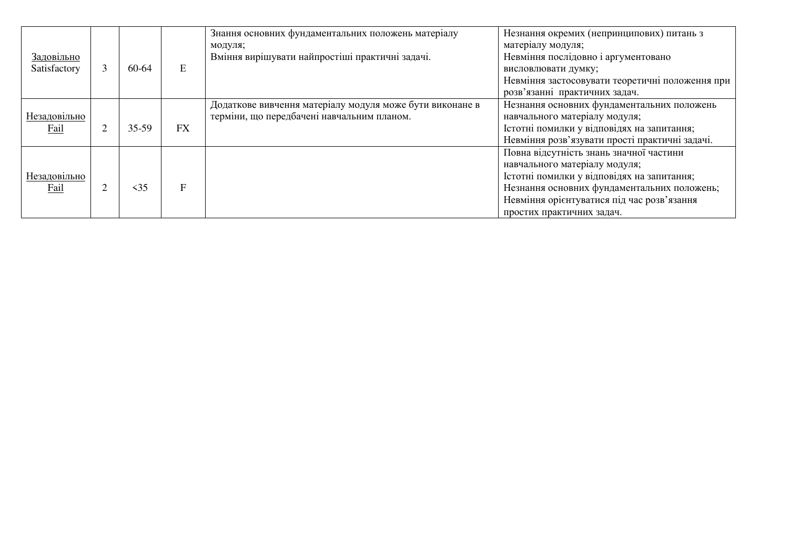|                      |   |           |           | Знання основних фундаментальних положень матеріалу       | Незнання окремих (непринципових) питань з       |
|----------------------|---|-----------|-----------|----------------------------------------------------------|-------------------------------------------------|
|                      |   |           |           | модуля;                                                  | матеріалу модуля;                               |
| Задовільно           |   |           |           | Вміння вирішувати найпростіші практичні задачі.          | Невміння послідовно і аргументовано             |
| Satisfactory         | 3 | 60-64     | E         |                                                          | висловлювати думку;                             |
|                      |   |           |           |                                                          | Невміння застосовувати теоретичні положення при |
|                      |   |           |           |                                                          | розв'язанні практичних задач.                   |
|                      |   |           |           | Додаткове вивчення матеріалу модуля може бути виконане в | Незнання основних фундаментальних положень      |
| Незадовільно<br>Fail |   |           |           | терміни, що передбачені навчальним планом.               | навчального матеріалу модуля;                   |
|                      |   | $35-59$   | <b>FX</b> |                                                          | Істотні помилки у відповідях на запитання;      |
|                      |   |           |           |                                                          | Невміння розв'язувати прості практичні задачі.  |
|                      |   |           |           |                                                          | Повна відсутність знань значної частини         |
| Незадовільно<br>Fail |   |           |           |                                                          | навчального матеріалу модуля;                   |
|                      |   |           |           |                                                          | Істотні помилки у відповідях на запитання;      |
|                      | 2 | $\leq$ 35 | F         |                                                          | Незнання основних фундаментальних положень;     |
|                      |   |           |           |                                                          | Невміння орієнтуватися під час розв'язання      |
|                      |   |           |           |                                                          | простих практичних задач.                       |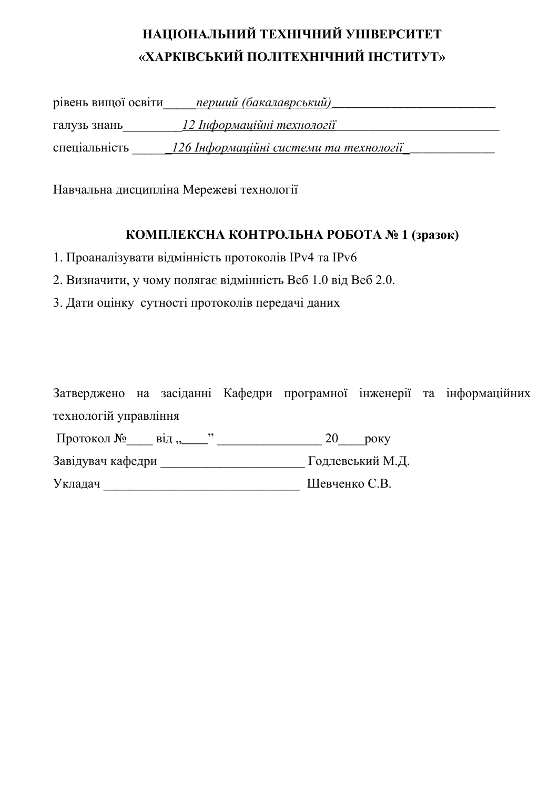# НАЦІОНАЛЬНИЙ ТЕХНІЧНИЙ УНІВЕРСИТЕТ «ХАРКІВСЬКИЙ ПОЛІТЕХНІЧНИЙ ІНСТИТУТ»

| рівень вищої освіти | перший (бакалаврський)                 |
|---------------------|----------------------------------------|
| галузь знань        | 12 Інформаційні технології             |
| спеціальність       | 126 Інформаційні системи та технології |

Навчальна дисципліна Мережеві технології

### КОМПЛЕКСНА КОНТРОЛЬНА РОБОТА № 1 (зразок)

- 1. Проаналізувати відмінність протоколів IPv4 та IPv6
- 2. Визначити, у чому полягає відмінність Веб 1.0 від Веб 2.0.
- 3. Дати оцінку сутності протоколів передачі даних

|                               |  |    |             | Затверджено на засіданні Кафедри програмної інженерії та інформаційних |
|-------------------------------|--|----|-------------|------------------------------------------------------------------------|
| технологій управління         |  |    |             |                                                                        |
| Протокол № від, $\frac{1}{2}$ |  | 20 | <b>DOKV</b> |                                                                        |

| Завідувач кафедри |                  |
|-------------------|------------------|
|                   | Годлевський М.Д. |
|                   |                  |

ɍɤɥɚɞɚɱ \_\_\_\_\_\_\_\_\_\_\_\_\_\_\_\_\_\_\_\_\_\_\_\_\_\_\_\_\_\_ Шɟɜɱɟɧɤɨ ɋ.ȼ.